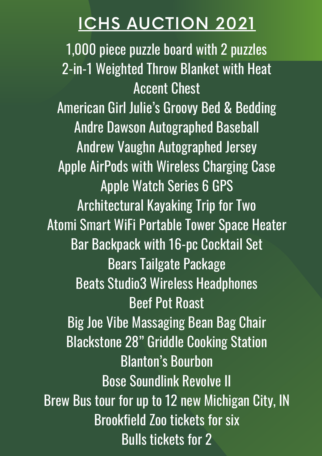1,000 piece puzzle board with 2 puzzles 2-in-1 Weighted Throw Blanket with Heat Accent Chest American Girl Julie's Groovy Bed & Bedding Andre Dawson Autographed Baseball Andrew Vaughn Autographed Jersey Apple AirPods with Wireless Charging Case Apple Watch Series 6 GPS Architectural Kayaking Trip for Two Atomi Smart WiFi Portable Tower Space Heater Bar Backpack with 16-pc Cocktail Set Bears Tailgate Package Beats Studio3 Wireless Headphones Beef Pot Roast Big Joe Vibe Massaging Bean Bag Chair Blackstone 28" Griddle Cooking Station Blanton's Bourbon Bose Soundlink Revolve II Brew Bus tour for up to 12 new Michigan City, IN Brookfield Zoo tickets for six Bulls tickets for 2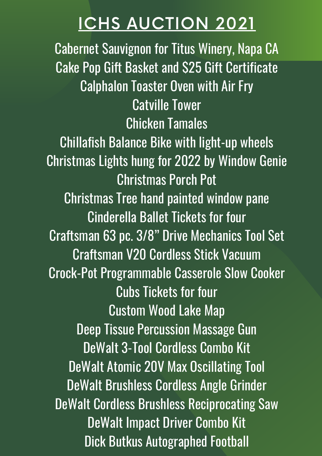Cabernet Sauvignon for Titus Winery, Napa CA Cake Pop Gift Basket and \$25 Gift Certificate Calphalon Toaster Oven with Air Fry Catville Tower Chicken Tamales Chillafish Balance Bike with light-up wheels Christmas Lights hung for 2022 by Window Genie Christmas Porch Pot Christmas Tree hand painted window pane Cinderella Ballet Tickets for four Craftsman 63 pc. 3/8" Drive Mechanics Tool Set Craftsman V20 Cordless Stick Vacuum Crock-Pot Programmable Casserole Slow Cooker Cubs Tickets for four Custom Wood Lake Map Deep Tissue Percussion Massage Gun DeWalt 3-Tool Cordless Combo Kit DeWalt Atomic 20V Max Oscillating Tool DeWalt Brushless Cordless Angle Grinder DeWalt Cordless Brushless Reciprocating Saw DeWalt Impact Driver Combo Kit Dick Butkus Autographed Football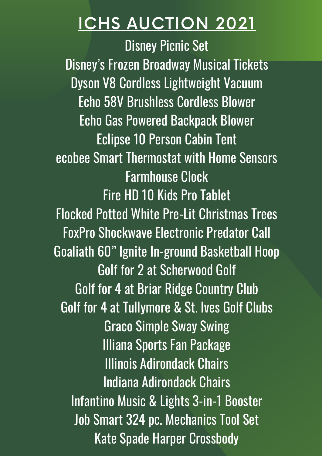Disney Picnic Set Disney's Frozen Broadway Musical Tickets Dyson V8 Cordless Lightweight Vacuum Echo 58V Brushless Cordless Blower Echo Gas Powered Backpack Blower Eclipse 10 Person Cabin Tent ecobee Smart Thermostat with Home Sensors Farmhouse Clock Fire HD 10 Kids Pro Tablet Flocked Potted White Pre-Lit Christmas Trees FoxPro Shockwave Electronic Predator Call Goaliath 60" Ignite In-ground Basketball Hoop Golf for 2 at Scherwood Golf Golf for 4 at Briar Ridge Country Club Golf for 4 at Tullymore & St. Ives Golf Clubs Graco Simple Sway Swing Illiana Sports Fan Package Illinois Adirondack Chairs Indiana Adirondack Chairs Infantino Music & Lights 3-in-1 Booster Job Smart 324 pc. Mechanics Tool Set Kate Spade Harper Crossbody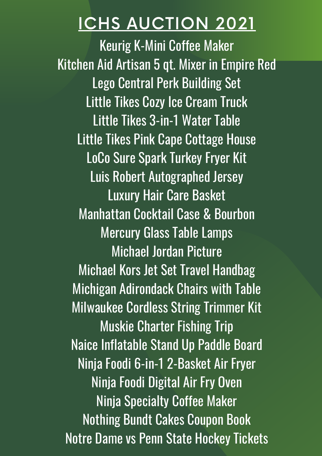Keurig K-Mini Coffee Maker Kitchen Aid Artisan 5 qt. Mixer in Empire Red Lego Central Perk Building Set Little Tikes Cozy Ice Cream Truck Little Tikes 3-in-1 Water Table Little Tikes Pink Cape Cottage House LoCo Sure Spark Turkey Fryer Kit Luis Robert Autographed Jersey Luxury Hair Care Basket Manhattan Cocktail Case & Bourbon Mercury Glass Table Lamps Michael Jordan Picture Michael Kors Jet Set Travel Handbag Michigan Adirondack Chairs with Table Milwaukee Cordless String Trimmer Kit Muskie Charter Fishing Trip Naice Inflatable Stand Up Paddle Board Ninja Foodi 6-in-1 2-Basket Air Fryer Ninja Foodi Digital Air Fry Oven Ninja Specialty Coffee Maker Nothing Bundt Cakes Coupon Book Notre Dame vs Penn State Hockey Tickets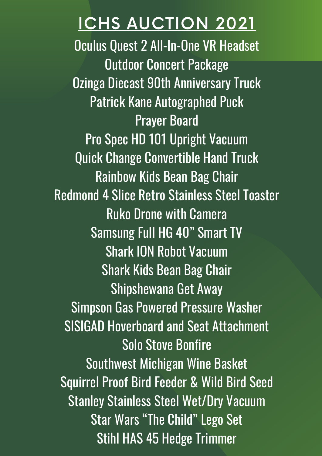Oculus Quest 2 All-In-One VR Headset Outdoor Concert Package Ozinga Diecast 90th Anniversary Truck Patrick Kane Autographed Puck Prayer Board Pro Spec HD 101 Upright Vacuum Quick Change Convertible Hand Truck Rainbow Kids Bean Bag Chair Redmond 4 Slice Retro Stainless Steel Toaster Ruko Drone with Camera Samsung Full HG 40" Smart TV Shark ION Robot Vacuum Shark Kids Bean Bag Chair Shipshewana Get Away Simpson Gas Powered Pressure Washer SISIGAD Hoverboard and Seat Attachment Solo Stove Bonfire Southwest Michigan Wine Basket Squirrel Proof Bird Feeder & Wild Bird Seed Stanley Stainless Steel Wet/Dry Vacuum Star Wars "The Child" Lego Set Stihl HAS 45 Hedge Trimmer